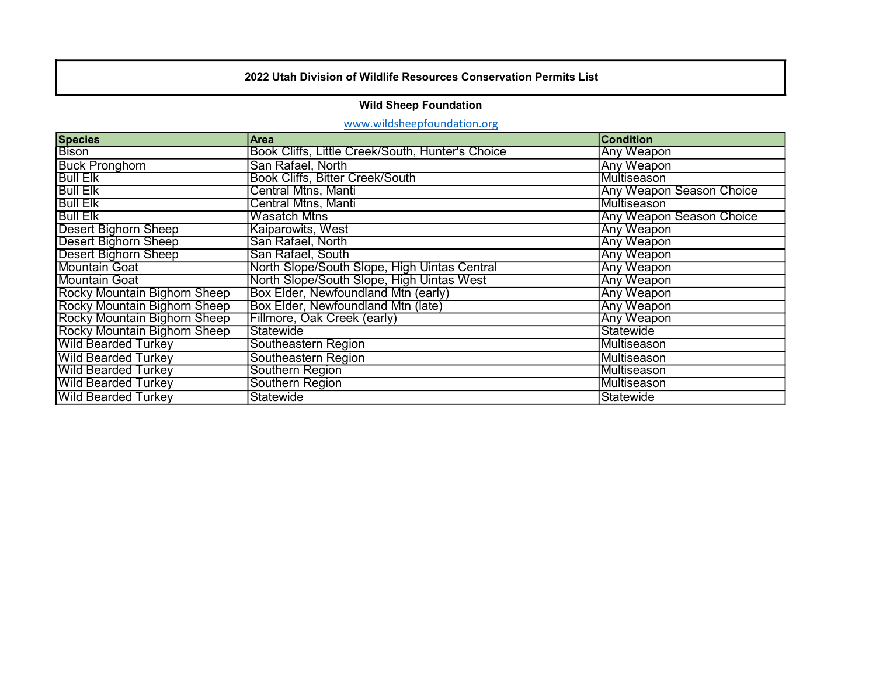### 2022 Utah Division of Wildlife Resources Conservation Permits List

### Wild Sheep Foundation

# www.wildsheepfoundation.org

| <b>Species</b>               | Area                                             | <b>Condition</b>                |
|------------------------------|--------------------------------------------------|---------------------------------|
| <b>Bison</b>                 | Book Cliffs, Little Creek/South, Hunter's Choice | Any Weapon                      |
| <b>Buck Pronghorn</b>        | San Rafael, North                                | Any Weapon                      |
| <b>Bull Elk</b>              | Book Cliffs, Bitter Creek/South                  | Multiseason                     |
| <b>Bull Elk</b>              | <b>Central Mtns, Manti</b>                       | <b>Any Weapon Season Choice</b> |
| <b>Bull Elk</b>              | <b>Central Mtns, Manti</b>                       | Multiseason                     |
| <b>Bull Elk</b>              | <b>Wasatch Mtns</b>                              | Any Weapon Season Choice        |
| <b>Desert Bighorn Sheep</b>  | <b>Kaiparowits, West</b>                         | Any Weapon                      |
| <b>Desert Bighorn Sheep</b>  | San Rafael, North                                | <b>Any Weapon</b>               |
| <b>Desert Bighorn Sheep</b>  | San Rafael, South                                | Any Weapon                      |
| <b>Mountain Goat</b>         | North Slope/South Slope, High Uintas Central     | <b>Any Weapon</b>               |
| <b>Mountain Goat</b>         | North Slope/South Slope, High Uintas West        | <b>Any Weapon</b>               |
| Rocky Mountain Bighorn Sheep | Box Elder, Newfoundland Mtn (early)              | <b>Any Weapon</b>               |
| Rocky Mountain Bighorn Sheep | Box Elder, Newfoundland Mtn (late)               | Any Weapon                      |
| Rocky Mountain Bighorn Sheep | Fillmore, Oak Creek (early)                      | <b>Any Weapon</b>               |
| Rocky Mountain Bighorn Sheep | Statewide                                        | Statewide                       |
| <b>Wild Bearded Turkey</b>   | Southeastern Region                              | lMultiseason                    |
| <b>Wild Bearded Turkey</b>   | Southeastern Region                              | Multiseason                     |
| <b>Wild Bearded Turkey</b>   | Southern Region                                  | Multiseason                     |
| <b>Wild Bearded Turkey</b>   | Southern Region                                  | Multiseason                     |
| <b>Wild Bearded Turkey</b>   | Statewide                                        | Statewide                       |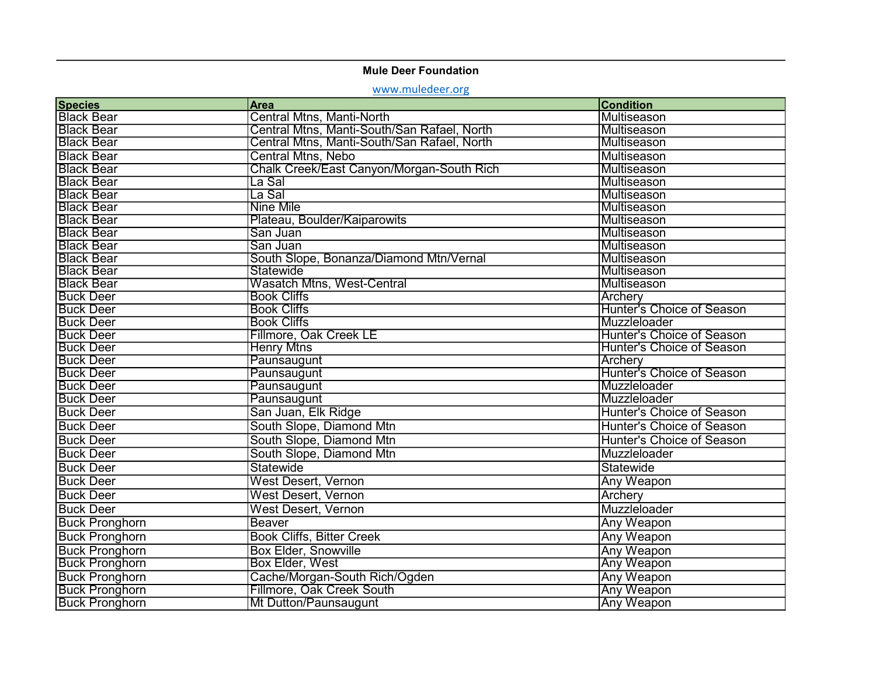## Mule Deer Foundation

<www.muledeer.org>

| <b>Species</b>        | Area                                        | <b>Condition</b>          |
|-----------------------|---------------------------------------------|---------------------------|
| <b>Black Bear</b>     | Central Mtns, Manti-North                   | Multiseason               |
| <b>Black Bear</b>     | Central Mtns, Manti-South/San Rafael, North | Multiseason               |
| <b>Black Bear</b>     | Central Mtns, Manti-South/San Rafael, North | Multiseason               |
| <b>Black Bear</b>     | <b>Central Mtns, Nebo</b>                   | Multiseason               |
| <b>Black Bear</b>     | Chalk Creek/East Canyon/Morgan-South Rich   | Multiseason               |
| <b>Black Bear</b>     | La Sal                                      | Multiseason               |
| <b>Black Bear</b>     | La Sal                                      | Multiseason               |
| <b>Black Bear</b>     | <b>Nine Mile</b>                            | <b>Multiseason</b>        |
| <b>Black Bear</b>     | Plateau, Boulder/Kaiparowits                | Multiseason               |
| <b>Black Bear</b>     | San Juan                                    | Multiseason               |
| <b>Black Bear</b>     | San Juan                                    | Multiseason               |
| <b>Black Bear</b>     | South Slope, Bonanza/Diamond Mtn/Vernal     | Multiseason               |
| <b>Black Bear</b>     | Statewide                                   | Multiseason               |
| <b>Black Bear</b>     | <b>Wasatch Mtns, West-Central</b>           | Multiseason               |
| <b>Buck Deer</b>      | <b>Book Cliffs</b>                          | <b>Archery</b>            |
| <b>Buck Deer</b>      | <b>Book Cliffs</b>                          | Hunter's Choice of Season |
| <b>Buck Deer</b>      | <b>Book Cliffs</b>                          | Muzzleloader              |
| <b>Buck Deer</b>      | Fillmore, Oak Creek LE                      | Hunter's Choice of Season |
| <b>Buck Deer</b>      | <b>Henry Mtns</b>                           | Hunter's Choice of Season |
| <b>Buck Deer</b>      | Paunsaugunt                                 | Archerv                   |
| <b>Buck Deer</b>      | Paunsaugunt                                 | Hunter's Choice of Season |
| <b>Buck Deer</b>      | Paunsaugunt                                 | Muzzleloader              |
| <b>Buck Deer</b>      | Paunsaugunt                                 | Muzzleloader              |
| <b>Buck Deer</b>      | San Juan, Elk Ridge                         | Hunter's Choice of Season |
| <b>Buck Deer</b>      | South Slope, Diamond Mtn                    | Hunter's Choice of Season |
| <b>Buck Deer</b>      | South Slope, Diamond Mtn                    | Hunter's Choice of Season |
| <b>Buck Deer</b>      | South Slope, Diamond Mtn                    | Muzzleloader              |
| <b>Buck Deer</b>      | Statewide                                   | Statewide                 |
| <b>Buck Deer</b>      | <b>West Desert, Vernon</b>                  | Any Weapon                |
| <b>Buck Deer</b>      | <b>West Desert, Vernon</b>                  | Archery                   |
| <b>Buck Deer</b>      | <b>West Desert, Vernon</b>                  | Muzzleloader              |
| <b>Buck Pronghorn</b> | <b>Beaver</b>                               | Any Weapon                |
| <b>Buck Pronghorn</b> | <b>Book Cliffs, Bitter Creek</b>            | <b>Any Weapon</b>         |
| <b>Buck Pronghorn</b> | <b>Box Elder, Snowville</b>                 | <b>Any Weapon</b>         |
| <b>Buck Pronghorn</b> | Box Elder, West                             | <b>Any Weapon</b>         |
| <b>Buck Pronghorn</b> | Cache/Morgan-South Rich/Ogden               | <b>Any Weapon</b>         |
| <b>Buck Pronghorn</b> | <b>Fillmore, Oak Creek South</b>            | <b>Any Weapon</b>         |
| <b>Buck Pronghorn</b> | Mt Dutton/Paunsaugunt                       | Any Weapon                |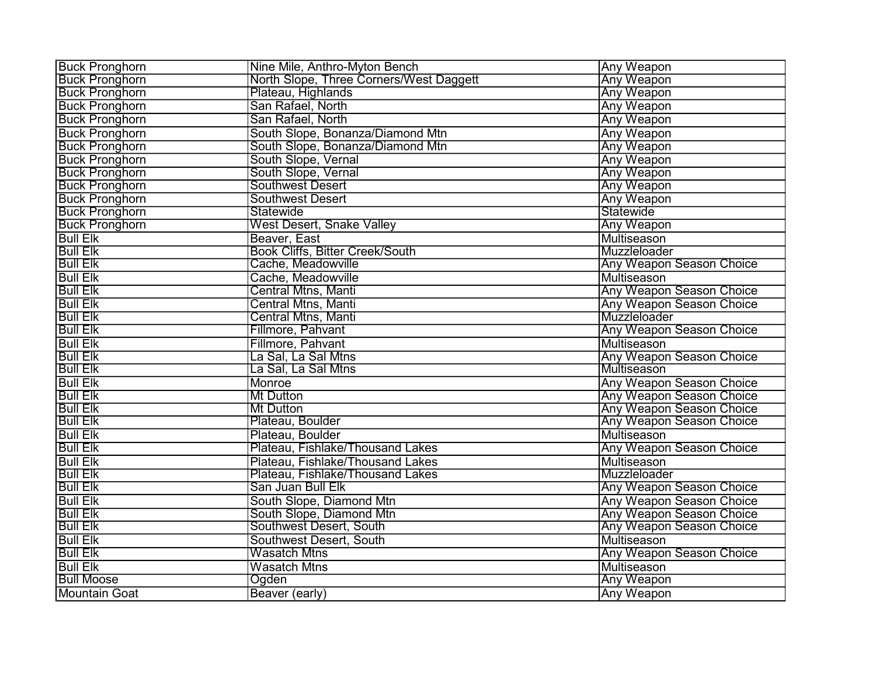| <b>Buck Pronghorn</b>            | Nine Mile, Anthro-Myton Bench           | <b>Any Weapon</b>               |
|----------------------------------|-----------------------------------------|---------------------------------|
| <b>Buck Pronghorn</b>            | North Slope, Three Corners/West Daggett | <b>Any Weapon</b>               |
| <b>Buck Pronghorn</b>            | Plateau, Highlands                      | <b>Any Weapon</b>               |
| <b>Buck Pronghorn</b>            | San Rafael, North                       | Any Weapon                      |
| <b>Buck Pronghorn</b>            | San Rafael, North                       | <b>Any Weapon</b>               |
| <b>Buck Pronghorn</b>            | South Slope, Bonanza/Diamond Mtn        | Any Weapon                      |
| <b>Buck Pronghorn</b>            | South Slope, Bonanza/Diamond Mtn        | <b>Any Weapon</b>               |
| <b>Buck Pronghorn</b>            | South Slope, Vernal                     | <b>Any Weapon</b>               |
| <b>Buck Pronghorn</b>            | South Slope, Vernal                     | <b>Any Weapon</b>               |
| <b>Buck Pronghorn</b>            | <b>Southwest Desert</b>                 | <b>Any Weapon</b>               |
| <b>Buck Pronghorn</b>            | <b>Southwest Desert</b>                 | <b>Any Weapon</b>               |
|                                  | <b>Statewide</b>                        | Statewide                       |
| Buck Pronghorn<br>Buck Pronghorn | <b>West Desert, Snake Valley</b>        | <b>Any Weapon</b>               |
| <b>Bull Elk</b>                  | Beaver, East                            | Multiseason                     |
| <b>Bull Elk</b>                  | <b>Book Cliffs, Bitter Creek/South</b>  | Muzzleloader                    |
| <b>Bull Elk</b>                  | Cache, Meadowville                      | <b>Any Weapon Season Choice</b> |
| <b>Bull Elk</b>                  | Cache, Meadowville                      | Multiseason                     |
| <b>Bull Elk</b>                  | Central Mtns, Manti                     | <b>Any Weapon Season Choice</b> |
| <b>Bull Elk</b>                  | Central Mtns, Manti                     | Any Weapon Season Choice        |
| <b>Bull Elk</b>                  | <b>Central Mtns, Manti</b>              | Muzzleloader                    |
| <b>Bull Elk</b>                  | Fillmore, Pahvant                       | <b>Any Weapon Season Choice</b> |
| <b>Bull Elk</b>                  | Fillmore, Pahvant                       | Multiseason                     |
| <b>Bull Elk</b>                  | La Sal, La Sal Mtns                     | <b>Any Weapon Season Choice</b> |
| <b>Bull Elk</b>                  | La Sal, La Sal Mtns                     | Multiseason                     |
| <b>Bull Elk</b>                  | Monroe                                  | Any Weapon Season Choice        |
| <b>Bull Elk</b>                  | <b>Mt Dutton</b>                        | <b>Any Weapon Season Choice</b> |
| <b>Bull Elk</b>                  | <b>Mt Dutton</b>                        | <b>Any Weapon Season Choice</b> |
| <b>Bull Elk</b>                  | Plateau, Boulder                        | <b>Any Weapon Season Choice</b> |
| <b>Bull Elk</b>                  | Plateau, Boulder                        | Multiseason                     |
| <b>Bull Elk</b>                  | Plateau, Fishlake/Thousand Lakes        | <b>Any Weapon Season Choice</b> |
| <b>Bull Elk</b>                  | Plateau, Fishlake/Thousand Lakes        | Multiseason                     |
| <b>Bull Elk</b>                  | Plateau, Fishlake/Thousand Lakes        | Muzzleloader                    |
| <b>Bull Elk</b>                  | San Juan Bull Elk                       | <b>Any Weapon Season Choice</b> |
| <b>Bull Elk</b>                  | South Slope, Diamond Mtn                | Any Weapon Season Choice        |
| <b>Bull Elk</b>                  | South Slope, Diamond Mtn                | <b>Any Weapon Season Choice</b> |
| <b>Bull Elk</b>                  | Southwest Desert, South                 | <b>Any Weapon Season Choice</b> |
| <b>Bull Elk</b>                  | Southwest Desert, South                 | <b>Multiseason</b>              |
| <b>Bull Elk</b>                  | <b>Wasatch Mtns</b>                     | <b>Any Weapon Season Choice</b> |
| <b>Bull Elk</b>                  | <b>Wasatch Mtns</b>                     | Multiseason                     |
| <b>Bull Moose</b>                | Ogden                                   | <b>Any Weapon</b>               |
| <b>Mountain Goat</b>             | Beaver (early)                          | <b>Any Weapon</b>               |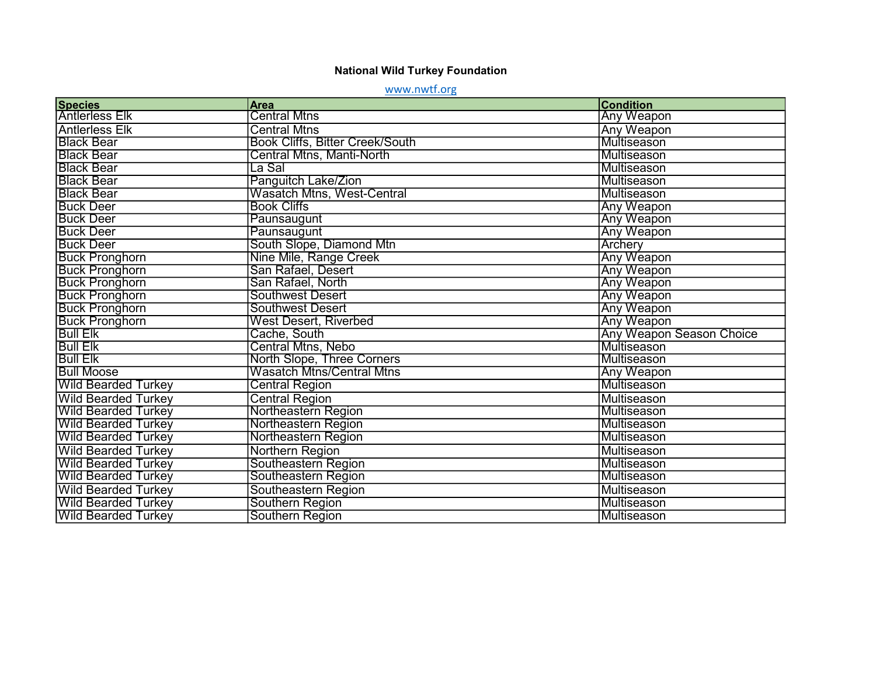#### National Wild Turkey Foundation

www.nwtf.org

| <b>Species</b>             | <b>Area</b>                            | <b>Condition</b>                |
|----------------------------|----------------------------------------|---------------------------------|
| <b>Antlerless Elk</b>      | <b>Central Mtns</b>                    | <b>Any Weapon</b>               |
| <b>Antlerless Elk</b>      | <b>Central Mtns</b>                    | Any Weapon                      |
| <b>Black Bear</b>          | <b>Book Cliffs, Bitter Creek/South</b> | Multiseason                     |
| <b>Black Bear</b>          | Central Mtns, Manti-North              | Multiseason                     |
| <b>Black Bear</b>          | La Sal                                 | Multiseason                     |
| <b>Black Bear</b>          | Panguitch Lake/Zion                    | Multiseason                     |
| <b>Black Bear</b>          | Wasatch Mtns, West-Central             | Multiseason                     |
| <b>Buck Deer</b>           | <b>Book Cliffs</b>                     | <b>Any Weapon</b>               |
| <b>Buck Deer</b>           | Paunsaugunt                            | <b>Any Weapon</b>               |
| <b>Buck Deer</b>           | Paunsaugunt                            | Any Weapon                      |
| <b>Buck Deer</b>           | South Slope, Diamond Mtn               | <b>Archery</b>                  |
| <b>Buck Pronghorn</b>      | Nine Mile, Range Creek                 | Any Weapon                      |
| <b>Buck Pronghorn</b>      | San Rafael, Desert                     | Any Weapon                      |
| <b>Buck Pronghorn</b>      | San Rafael, North                      | <b>Any Weapon</b>               |
| <b>Buck Pronghorn</b>      | <b>Southwest Desert</b>                | <b>Any Weapon</b>               |
| <b>Buck Pronghorn</b>      | <b>Southwest Desert</b>                | <b>Any Weapon</b>               |
| <b>Buck Pronghorn</b>      | <b>West Desert, Riverbed</b>           | Any Weapon                      |
| <b>Bull Elk</b>            | Cache, South                           | <b>Any Weapon Season Choice</b> |
| <b>Bull Elk</b>            | <b>Central Mtns, Nebo</b>              | Multiseason                     |
| <b>Bull Elk</b>            | North Slope, Three Corners             | Multiseason                     |
| <b>Bull Moose</b>          | Wasatch Mtns/Central Mtns              | <b>Any Weapon</b>               |
| <b>Wild Bearded Turkey</b> | <b>Central Region</b>                  | Multiseason                     |
| <b>Wild Bearded Turkey</b> | <b>Central Region</b>                  | Multiseason                     |
| <b>Wild Bearded Turkey</b> | <b>Northeastern Region</b>             | Multiseason                     |
| <b>Wild Bearded Turkey</b> | Northeastern Region                    | Multiseason                     |
| <b>Wild Bearded Turkey</b> | Northeastern Region                    | Multiseason                     |
| <b>Wild Bearded Turkey</b> | Northern Region                        | Multiseason                     |
| <b>Wild Bearded Turkey</b> | Southeastern Region                    | Multiseason                     |
| <b>Wild Bearded Turkey</b> | Southeastern Region                    | Multiseason                     |
| <b>Wild Bearded Turkey</b> | Southeastern Region                    | Multiseason                     |
| <b>Wild Bearded Turkey</b> | Southern Region                        | Multiseason                     |
| <b>Wild Bearded Turkey</b> | Southern Region                        | Multiseason                     |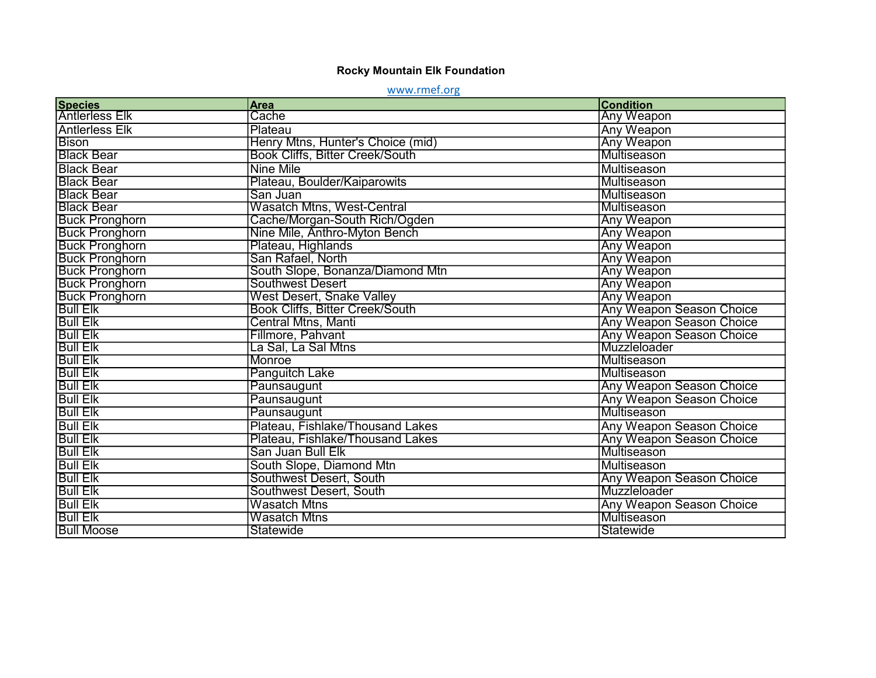#### Rocky Mountain Elk Foundation

www.rmef.org

| <b>Species</b>        | Area                                   | <b>Condition</b>                |
|-----------------------|----------------------------------------|---------------------------------|
| <b>Antlerless Elk</b> | Cache                                  | <b>Any Weapon</b>               |
| <b>Antlerless Elk</b> | Plateau                                | Any Weapon                      |
| <b>Bison</b>          | Henry Mtns, Hunter's Choice (mid)      | Any Weapon                      |
| <b>Black Bear</b>     | <b>Book Cliffs, Bitter Creek/South</b> | Multiseason                     |
| <b>Black Bear</b>     | <b>Nine Mile</b>                       | Multiseason                     |
| <b>Black Bear</b>     | Plateau, Boulder/Kaiparowits           | Multiseason                     |
| <b>Black Bear</b>     | San Juan                               | Multiseason                     |
| <b>Black Bear</b>     | <b>Wasatch Mtns, West-Central</b>      | Multiseason                     |
| <b>Buck Pronghorn</b> | Cache/Morgan-South Rich/Ogden          | <b>Any Weapon</b>               |
| <b>Buck Pronghorn</b> | Nine Mile, Anthro-Myton Bench          | <b>Any Weapon</b>               |
| <b>Buck Pronghorn</b> | Plateau, Highlands                     | <b>Any Weapon</b>               |
| <b>Buck Pronghorn</b> | San Rafael, North                      | Any Weapon                      |
| <b>Buck Pronghorn</b> | South Slope, Bonanza/Diamond Mtn       | <b>Any Weapon</b>               |
| <b>Buck Pronghorn</b> | <b>Southwest Desert</b>                | <b>Any Weapon</b>               |
| <b>Buck Pronghorn</b> | West Desert, Snake Valley              | <b>Any Weapon</b>               |
| <b>Bull Elk</b>       | <b>Book Cliffs, Bitter Creek/South</b> | <b>Any Weapon Season Choice</b> |
| <b>Bull Elk</b>       | Central Mtns, Manti                    | <b>Any Weapon Season Choice</b> |
| <b>Bull Elk</b>       | Fillmore, Pahvant                      | <b>Any Weapon Season Choice</b> |
| <b>Bull Elk</b>       | La Sal, La Sal Mtns                    | Muzzleloader                    |
| <b>Bull Elk</b>       | Monroe                                 | Multiseason                     |
| <b>Bull Elk</b>       | <b>Panguitch Lake</b>                  | Multiseason                     |
| <b>Bull Elk</b>       | Paunsaugunt                            | <b>Any Weapon Season Choice</b> |
| <b>Bull Elk</b>       | Paunsaugunt                            | Any Weapon Season Choice        |
| <b>Bull Elk</b>       | Paunsaugunt                            | Multiseason                     |
| <b>Bull Elk</b>       | Plateau, Fishlake/Thousand Lakes       | Any Weapon Season Choice        |
| <b>Bull Elk</b>       | Plateau, Fishlake/Thousand Lakes       | <b>Any Weapon Season Choice</b> |
| <b>Bull Elk</b>       | San Juan Bull Elk                      | Multiseason                     |
| <b>Bull Elk</b>       | South Slope, Diamond Mtn               | Multiseason                     |
| <b>Bull Elk</b>       | Southwest Desert, South                | Any Weapon Season Choice        |
| <b>Bull Elk</b>       | <b>Southwest Desert, South</b>         | Muzzleloader                    |
| <b>Bull Elk</b>       | <b>Wasatch Mtns</b>                    | Any Weapon Season Choice        |
| <b>Bull Elk</b>       | <b>Wasatch Mtns</b>                    | Multiseason                     |
| <b>Bull Moose</b>     | <b>Statewide</b>                       | Statewide                       |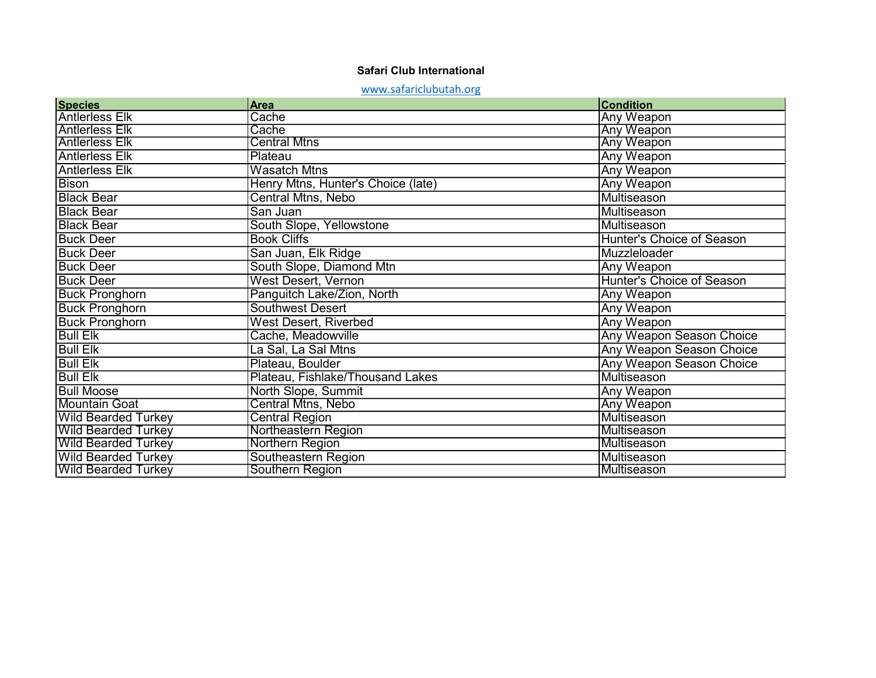### Safari Club International

# <www.safariclubutah.org>

| <b>Species</b>             | <b>Area</b>                        | <b>Condition</b>                |
|----------------------------|------------------------------------|---------------------------------|
| <b>Antlerless Elk</b>      | Cache                              | <b>Any Weapon</b>               |
| <b>Antlerless Elk</b>      | Cache                              | <b>Any Weapon</b>               |
| <b>Antlerless Elk</b>      | <b>Central Mtns</b>                | <b>Any Weapon</b>               |
| <b>Antlerless Elk</b>      | Plateau                            | Any Weapon                      |
| <b>Antlerless Elk</b>      | <b>Wasatch Mtns</b>                | <b>Any Weapon</b>               |
| <b>Bison</b>               | Henry Mtns, Hunter's Choice (late) | Any Weapon                      |
| <b>Black Bear</b>          | Central Mtns, Nebo                 | Multiseason                     |
| <b>Black Bear</b>          | San Juan                           | Multiseason                     |
| <b>Black Bear</b>          | South Slope, Yellowstone           | Multiseason                     |
| <b>Buck Deer</b>           | <b>Book Cliffs</b>                 | Hunter's Choice of Season       |
| <b>Buck Deer</b>           | San Juan, Elk Ridge                | Muzzleloader                    |
| <b>Buck Deer</b>           | South Slope, Diamond Mtn           | Any Weapon                      |
| <b>Buck Deer</b>           | <b>West Desert, Vernon</b>         | Hunter's Choice of Season       |
| <b>Buck Pronghorn</b>      | Panguitch Lake/Zion, North         | Any Weapon                      |
| <b>Buck Pronghorn</b>      | <b>Southwest Desert</b>            | Any Weapon                      |
| <b>Buck Pronghorn</b>      | <b>West Desert, Riverbed</b>       | Any Weapon                      |
| <b>Bull Elk</b>            | Cache, Meadowville                 | <b>Any Weapon Season Choice</b> |
| <b>Bull Elk</b>            | La Sal, La Sal Mtns                | Any Weapon Season Choice        |
| <b>Bull Elk</b>            | Plateau, Boulder                   | Any Weapon Season Choice        |
| <b>Bull Elk</b>            | Plateau, Fishlake/Thousand Lakes   | Multiseason                     |
| <b>Bull Moose</b>          | North Slope, Summit                | <b>Any Weapon</b>               |
| <b>Mountain Goat</b>       | <b>Central Mtns, Nebo</b>          | <b>Any Weapon</b>               |
| <b>Wild Bearded Turkey</b> | <b>Central Region</b>              | Multiseason                     |
| <b>Wild Bearded Turkey</b> | <b>Northeastern Region</b>         | Multiseason                     |
| <b>Wild Bearded Turkey</b> | Northern Region                    | Multiseason                     |
| <b>Wild Bearded Turkey</b> | Southeastern Region                | <b>Multiseason</b>              |
| <b>Wild Bearded Turkey</b> | Southern Region                    | <b>Multiseason</b>              |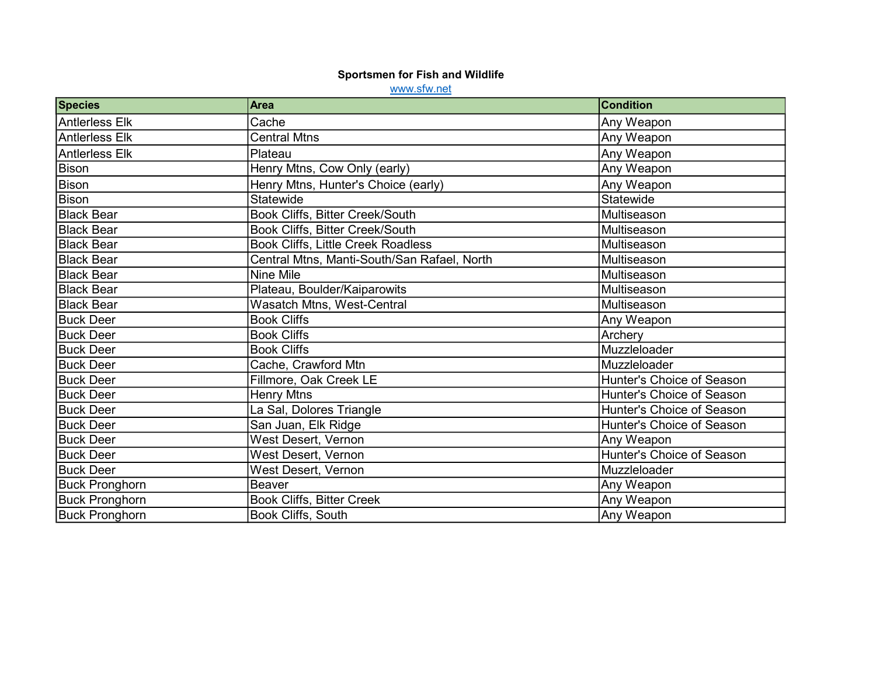#### Sportsmen for Fish and Wildlife

www.sfw.net

| <b>Species</b>        | <b>Area</b>                                 | <b>Condition</b>          |
|-----------------------|---------------------------------------------|---------------------------|
| <b>Antlerless Elk</b> | Cache                                       | Any Weapon                |
| <b>Antlerless Elk</b> | <b>Central Mtns</b>                         | Any Weapon                |
| <b>Antlerless Elk</b> | Plateau                                     | Any Weapon                |
| <b>Bison</b>          | Henry Mtns, Cow Only (early)                | Any Weapon                |
| <b>Bison</b>          | Henry Mtns, Hunter's Choice (early)         | Any Weapon                |
| <b>Bison</b>          | <b>Statewide</b>                            | Statewide                 |
| <b>Black Bear</b>     | Book Cliffs, Bitter Creek/South             | Multiseason               |
| <b>Black Bear</b>     | Book Cliffs, Bitter Creek/South             | Multiseason               |
| <b>Black Bear</b>     | Book Cliffs, Little Creek Roadless          | Multiseason               |
| <b>Black Bear</b>     | Central Mtns, Manti-South/San Rafael, North | Multiseason               |
| <b>Black Bear</b>     | Nine Mile                                   | Multiseason               |
| <b>Black Bear</b>     | Plateau, Boulder/Kaiparowits                | Multiseason               |
| <b>Black Bear</b>     | Wasatch Mtns, West-Central                  | Multiseason               |
| <b>Buck Deer</b>      | <b>Book Cliffs</b>                          | Any Weapon                |
| <b>Buck Deer</b>      | <b>Book Cliffs</b>                          | Archery                   |
| <b>Buck Deer</b>      | <b>Book Cliffs</b>                          | Muzzleloader              |
| <b>Buck Deer</b>      | Cache, Crawford Mtn                         | Muzzleloader              |
| <b>Buck Deer</b>      | Fillmore, Oak Creek LE                      | Hunter's Choice of Season |
| <b>Buck Deer</b>      | <b>Henry Mtns</b>                           | Hunter's Choice of Season |
| <b>Buck Deer</b>      | La Sal, Dolores Triangle                    | Hunter's Choice of Season |
| <b>Buck Deer</b>      | San Juan, Elk Ridge                         | Hunter's Choice of Season |
| <b>Buck Deer</b>      | <b>West Desert, Vernon</b>                  | Any Weapon                |
| <b>Buck Deer</b>      | West Desert, Vernon                         | Hunter's Choice of Season |
| <b>Buck Deer</b>      | West Desert, Vernon                         | Muzzleloader              |
| <b>Buck Pronghorn</b> | <b>Beaver</b>                               | Any Weapon                |
| <b>Buck Pronghorn</b> | <b>Book Cliffs, Bitter Creek</b>            | Any Weapon                |
| <b>Buck Pronghorn</b> | <b>Book Cliffs, South</b>                   | Any Weapon                |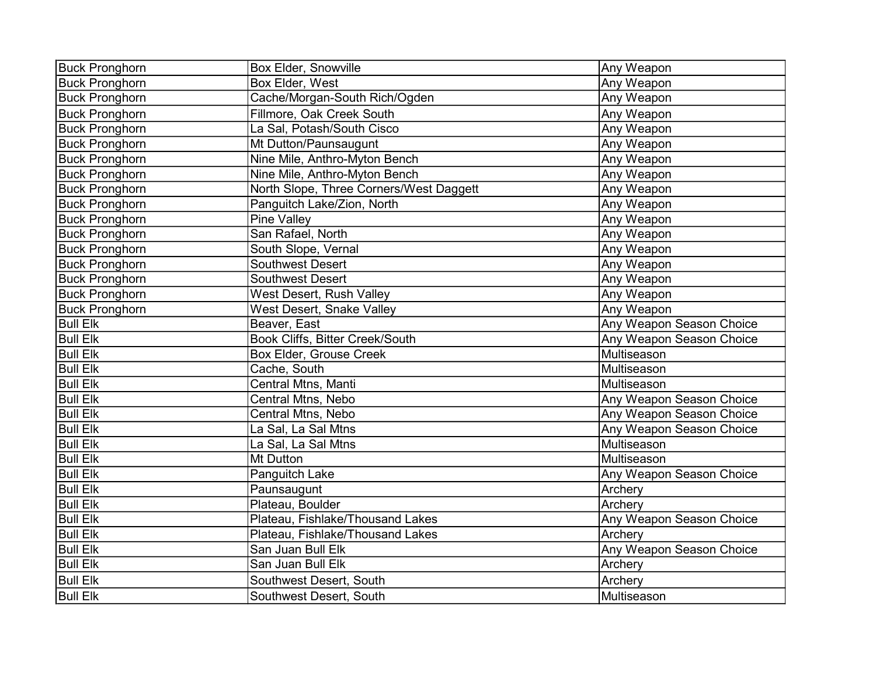| <b>Buck Pronghorn</b> | <b>Box Elder, Snowville</b>             | Any Weapon                      |
|-----------------------|-----------------------------------------|---------------------------------|
| <b>Buck Pronghorn</b> | Box Elder, West                         | Any Weapon                      |
| <b>Buck Pronghorn</b> | Cache/Morgan-South Rich/Ogden           | Any Weapon                      |
| <b>Buck Pronghorn</b> | Fillmore, Oak Creek South               | Any Weapon                      |
| <b>Buck Pronghorn</b> | La Sal, Potash/South Cisco              | Any Weapon                      |
| <b>Buck Pronghorn</b> | Mt Dutton/Paunsaugunt                   | Any Weapon                      |
| <b>Buck Pronghorn</b> | Nine Mile, Anthro-Myton Bench           | Any Weapon                      |
| <b>Buck Pronghorn</b> | Nine Mile, Anthro-Myton Bench           | Any Weapon                      |
| <b>Buck Pronghorn</b> | North Slope, Three Corners/West Daggett | Any Weapon                      |
| <b>Buck Pronghorn</b> | Panguitch Lake/Zion, North              | Any Weapon                      |
| <b>Buck Pronghorn</b> | Pine Valley                             | Any Weapon                      |
| <b>Buck Pronghorn</b> | San Rafael, North                       | Any Weapon                      |
| <b>Buck Pronghorn</b> | South Slope, Vernal                     | Any Weapon                      |
| <b>Buck Pronghorn</b> | <b>Southwest Desert</b>                 | Any Weapon                      |
| <b>Buck Pronghorn</b> | <b>Southwest Desert</b>                 | Any Weapon                      |
| <b>Buck Pronghorn</b> | West Desert, Rush Valley                | Any Weapon                      |
| <b>Buck Pronghorn</b> | West Desert, Snake Valley               | Any Weapon                      |
| <b>Bull Elk</b>       | Beaver, East                            | <b>Any Weapon Season Choice</b> |
| <b>Bull Elk</b>       | Book Cliffs, Bitter Creek/South         | Any Weapon Season Choice        |
| <b>Bull Elk</b>       | <b>Box Elder, Grouse Creek</b>          | Multiseason                     |
| <b>Bull Elk</b>       | Cache, South                            | Multiseason                     |
| <b>Bull Elk</b>       | Central Mtns, Manti                     | Multiseason                     |
| <b>Bull Elk</b>       | Central Mtns, Nebo                      | Any Weapon Season Choice        |
| <b>Bull Elk</b>       | Central Mtns, Nebo                      | Any Weapon Season Choice        |
| <b>Bull Elk</b>       | La Sal, La Sal Mtns                     | Any Weapon Season Choice        |
| <b>Bull Elk</b>       | La Sal, La Sal Mtns                     | Multiseason                     |
| <b>Bull Elk</b>       | Mt Dutton                               | Multiseason                     |
| <b>Bull Elk</b>       | Panguitch Lake                          | Any Weapon Season Choice        |
| <b>Bull Elk</b>       | Paunsaugunt                             | Archery                         |
| <b>Bull Elk</b>       | Plateau, Boulder                        | Archery                         |
| <b>Bull Elk</b>       | Plateau, Fishlake/Thousand Lakes        | Any Weapon Season Choice        |
| <b>Bull Elk</b>       | Plateau, Fishlake/Thousand Lakes        | Archery                         |
| <b>Bull Elk</b>       | San Juan Bull Elk                       | Any Weapon Season Choice        |
| <b>Bull Elk</b>       | San Juan Bull Elk                       | Archery                         |
| <b>Bull Elk</b>       | Southwest Desert, South                 | Archery                         |
| <b>Bull Elk</b>       | Southwest Desert, South                 | Multiseason                     |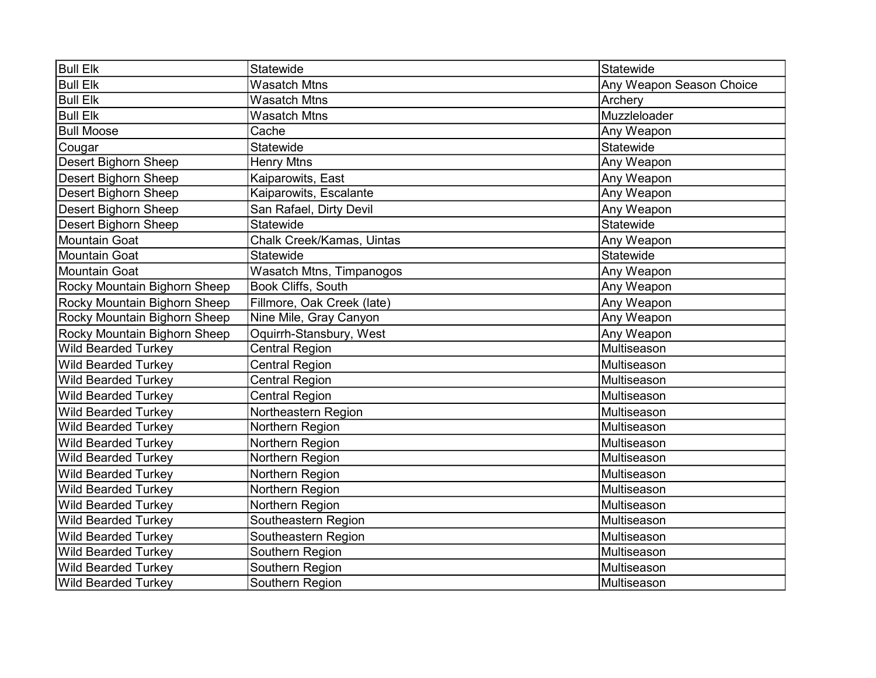| <b>Bull Elk</b>              | Statewide                       | Statewide                |
|------------------------------|---------------------------------|--------------------------|
| <b>Bull Elk</b>              | <b>Wasatch Mtns</b>             | Any Weapon Season Choice |
| <b>Bull Elk</b>              | <b>Wasatch Mtns</b>             | Archery                  |
| <b>Bull Elk</b>              | <b>Wasatch Mtns</b>             | Muzzleloader             |
| <b>Bull Moose</b>            | Cache                           | Any Weapon               |
| Cougar                       | Statewide                       | Statewide                |
| Desert Bighorn Sheep         | <b>Henry Mtns</b>               | Any Weapon               |
| Desert Bighorn Sheep         | Kaiparowits, East               | Any Weapon               |
| <b>Desert Bighorn Sheep</b>  | Kaiparowits, Escalante          | Any Weapon               |
| <b>Desert Bighorn Sheep</b>  | San Rafael, Dirty Devil         | Any Weapon               |
| <b>Desert Bighorn Sheep</b>  | Statewide                       | Statewide                |
| <b>Mountain Goat</b>         | Chalk Creek/Kamas, Uintas       | Any Weapon               |
| <b>Mountain Goat</b>         | Statewide                       | Statewide                |
| <b>Mountain Goat</b>         | <b>Wasatch Mtns, Timpanogos</b> | Any Weapon               |
| Rocky Mountain Bighorn Sheep | <b>Book Cliffs, South</b>       | Any Weapon               |
| Rocky Mountain Bighorn Sheep | Fillmore, Oak Creek (late)      | Any Weapon               |
| Rocky Mountain Bighorn Sheep | Nine Mile, Gray Canyon          | Any Weapon               |
| Rocky Mountain Bighorn Sheep | Oquirrh-Stansbury, West         | Any Weapon               |
| <b>Wild Bearded Turkey</b>   | <b>Central Region</b>           | Multiseason              |
| <b>Wild Bearded Turkey</b>   | <b>Central Region</b>           | Multiseason              |
| <b>Wild Bearded Turkey</b>   | <b>Central Region</b>           | Multiseason              |
| <b>Wild Bearded Turkey</b>   | <b>Central Region</b>           | Multiseason              |
| <b>Wild Bearded Turkey</b>   | Northeastern Region             | Multiseason              |
| <b>Wild Bearded Turkey</b>   | Northern Region                 | Multiseason              |
| <b>Wild Bearded Turkey</b>   | Northern Region                 | Multiseason              |
| <b>Wild Bearded Turkey</b>   | Northern Region                 | Multiseason              |
| <b>Wild Bearded Turkey</b>   | Northern Region                 | Multiseason              |
| <b>Wild Bearded Turkey</b>   | Northern Region                 | Multiseason              |
| <b>Wild Bearded Turkey</b>   | Northern Region                 | Multiseason              |
| <b>Wild Bearded Turkey</b>   | Southeastern Region             | Multiseason              |
| <b>Wild Bearded Turkey</b>   | Southeastern Region             | Multiseason              |
| <b>Wild Bearded Turkey</b>   | Southern Region                 | Multiseason              |
| <b>Wild Bearded Turkey</b>   | Southern Region                 | Multiseason              |
| <b>Wild Bearded Turkey</b>   | Southern Region                 | Multiseason              |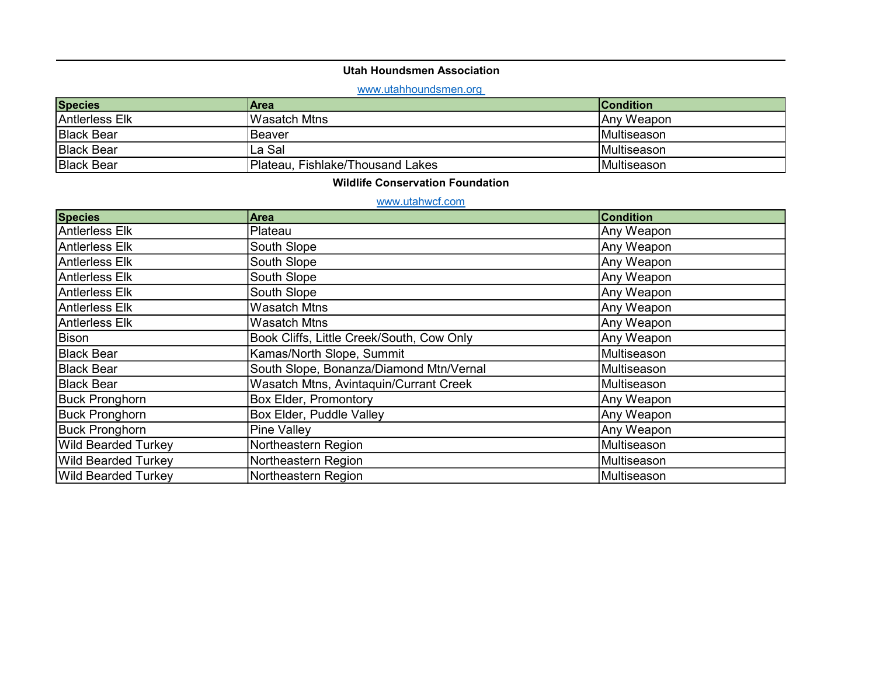### Utah Houndsmen Association

## <www.utahhoundsmen.org>

| <b>Species</b>    | <b>Area</b>                      | <b>Condition</b>    |
|-------------------|----------------------------------|---------------------|
| Antierless Elk    | IWasatch Mtns                    | Any Weapon          |
| <b>Black Bear</b> | lBeaver                          | <b>IMultiseason</b> |
| <b>Black Bear</b> | La Sal                           | <b>IMultiseason</b> |
| <b>Black Bear</b> | Plateau, Fishlake/Thousand Lakes | <b>IMultiseason</b> |

### Wildlife Conservation Foundation

### www.utahwcf.com

| <b>Species</b>             | <b>Area</b>                               | <b>Condition</b> |
|----------------------------|-------------------------------------------|------------------|
| Antlerless Elk             | Plateau                                   | Any Weapon       |
| Antlerless Elk             | South Slope                               | Any Weapon       |
| Antlerless Elk             | South Slope                               | Any Weapon       |
| Antlerless Elk             | South Slope                               | Any Weapon       |
| Antlerless Elk             | South Slope                               | Any Weapon       |
| Antlerless Elk             | <b>Wasatch Mtns</b>                       | Any Weapon       |
| Antlerless Elk             | <b>Wasatch Mtns</b>                       | Any Weapon       |
| Bison                      | Book Cliffs, Little Creek/South, Cow Only | Any Weapon       |
| Black Bear                 | Kamas/North Slope, Summit                 | Multiseason      |
| Black Bear                 | South Slope, Bonanza/Diamond Mtn/Vernal   | Multiseason      |
| <b>Black Bear</b>          | Wasatch Mtns, Avintaquin/Currant Creek    | Multiseason      |
| <b>Buck Pronghorn</b>      | <b>Box Elder, Promontory</b>              | Any Weapon       |
| <b>Buck Pronghorn</b>      | Box Elder, Puddle Valley                  | Any Weapon       |
| <b>Buck Pronghorn</b>      | Pine Valley                               | Any Weapon       |
| <b>Wild Bearded Turkey</b> | Northeastern Region                       | Multiseason      |
| <b>Wild Bearded Turkey</b> | Northeastern Region                       | Multiseason      |
| <b>Wild Bearded Turkey</b> | Northeastern Region                       | Multiseason      |